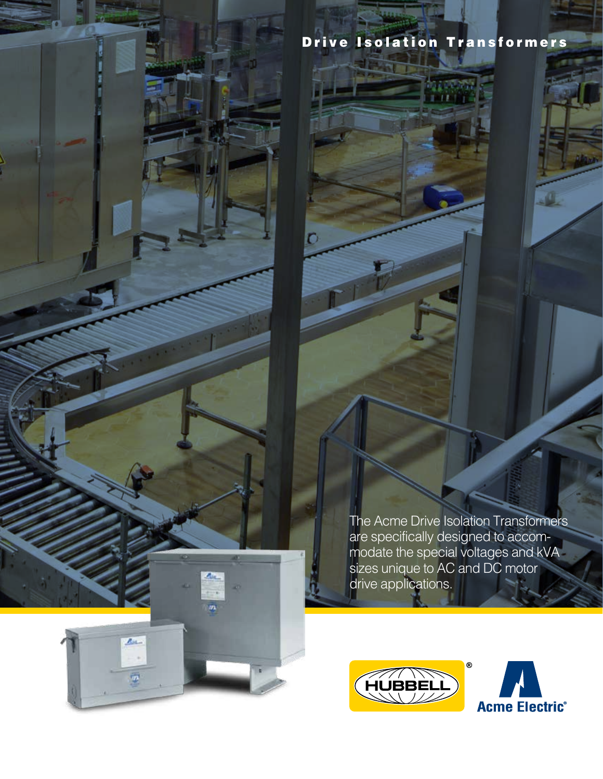

A.

m

 $Re$ 

ø

Drive Isolation Transformers

mar<br>1971

О

The Acme Drive Isolation Transformers are specifically designed to accommodate the special voltages and kVA sizes unique to AC and DC motor drive applications.



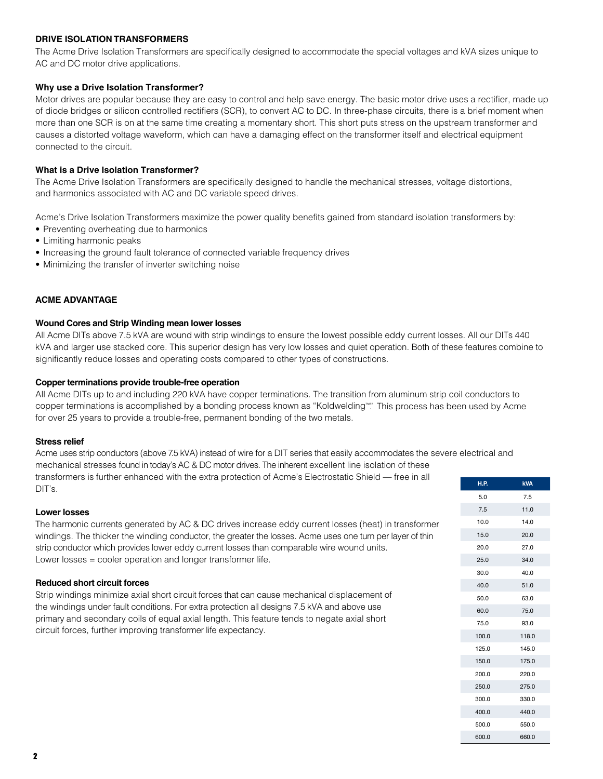# **DRIVE ISOLATION TRANSFORMERS**

The Acme Drive Isolation Transformers are specifically designed to accommodate the special voltages and kVA sizes unique to AC and DC motor drive applications.

# **Why use a Drive Isolation Transformer?**

Motor drives are popular because they are easy to control and help save energy. The basic motor drive uses a rectifier, made up of diode bridges or silicon controlled rectifiers (SCR), to convert AC to DC. In three-phase circuits, there is a brief moment when more than one SCR is on at the same time creating a momentary short. This short puts stress on the upstream transformer and causes a distorted voltage waveform, which can have a damaging effect on the transformer itself and electrical equipment connected to the circuit.

# **What is a Drive Isolation Transformer?**

The Acme Drive Isolation Transformers are specifically designed to handle the mechanical stresses, voltage distortions, and harmonics associated with AC and DC variable speed drives.

Acme's Drive Isolation Transformers maximize the power quality benefits gained from standard isolation transformers by:

- Preventing overheating due to harmonics
- Limiting harmonic peaks
- Increasing the ground fault tolerance of connected variable frequency drives
- Minimizing the transfer of inverter switching noise

# **ACME ADVANTAGE**

### **Wound Cores and Strip Winding mean lower losses**

All Acme DITs above 7.5 kVA are wound with strip windings to ensure the lowest possible eddy current losses. All our DITs 440 kVA and larger use stacked core. This superior design has very low losses and quiet operation. Both of these features combine to significantly reduce losses and operating costs compared to other types of constructions.

### **Copper terminations provide trouble-free operation**

All Acme DITs up to and including 220 kVA have copper terminations. The transition from aluminum strip coil conductors to copper terminations is accomplished by a bonding process known as "Koldwelding™". This process has been used by Acme for over 25 years to provide a trouble-free, permanent bonding of the two metals.

### **Stress relief**

Acme uses strip conductors (above 7.5 kVA) instead of wire for a DIT series that easily accommodates the severe electrical and mechanical stresses found in today's AC & DC motor drives. The inherent excellent line isolation of these transformers is further enhanced with the extra protection of Acme's Electrostatic Shield — free in all

### **Lower losses**

DIT's.

The harmonic currents generated by AC & DC drives increase eddy current losses (heat) in transformer windings. The thicker the winding conductor, the greater the losses. Acme uses one turn per layer of thin strip conductor which provides lower eddy current losses than comparable wire wound units. Lower losses = cooler operation and longer transformer life.

### **Reduced short circuit forces**

Strip windings minimize axial short circuit forces that can cause mechanical displacement of the windings under fault conditions. For extra protection all designs 7.5 kVA and above use primary and secondary coils of equal axial length. This feature tends to negate axial short circuit forces, further improving transformer life expectancy.

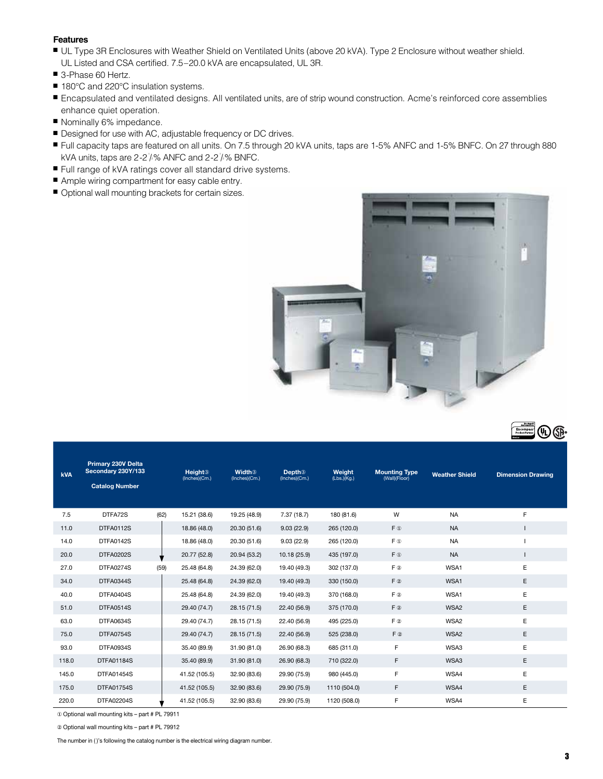### **Features**

- UL Type 3R Enclosures with Weather Shield on Ventilated Units (above 20 kVA). Type 2 Enclosure without weather shield. UL Listed and CSA certified. 7.5–20.0 kVA are encapsulated, UL 3R.
- 3-Phase 60 Hertz.
- 180°C and 220°C insulation systems.
- <sup>n</sup> Encapsulated and ventilated designs. All ventilated units, are of strip wound construction. Acme's reinforced core assemblies enhance quiet operation.
- Nominally 6% impedance.
- Designed for use with AC, adjustable frequency or DC drives.
- Full capacity taps are featured on all units. On 7.5 through 20 kVA units, taps are 1-5% ANFC and 1-5% BNFC. On 27 through 880 kVA units, taps are 2-2 $\frac{1}{2}$ % ANFC and 2-2 $\frac{1}{2}$ % BNFC.
- Full range of kVA ratings cover all standard drive systems.
- Ample wiring compartment for easy cable entry.
- $\blacksquare$  Optional wall mounting brackets for certain sizes.



| <b>kVA</b> | Primary 230V Delta<br>Secondary 230Y/133<br><b>Catalog Number</b> |      | <b>Height</b> <sup>3</sup><br>(Inches)(Cm.) | <b>Width</b> <sup>3</sup><br>(Inches)(Cm.) | <b>Depth</b> <sup>3</sup><br>(Inches)(Cm.) | Weight<br>(Lbs.)(Kg.) | <b>Mounting Type</b><br>(Wall)(Floor) | <b>Weather Shield</b> | <b>Dimension Drawing</b> |
|------------|-------------------------------------------------------------------|------|---------------------------------------------|--------------------------------------------|--------------------------------------------|-----------------------|---------------------------------------|-----------------------|--------------------------|
| 7.5        | DTFA72S                                                           | (62) | 15.21 (38.6)                                | 19.25 (48.9)                               | 7.37(18.7)                                 | 180 (81.6)            | W                                     | <b>NA</b>             | F                        |
| 11.0       | DTFA0112S                                                         |      | 18.86 (48.0)                                | 20.30 (51.6)                               | 9.03(22.9)                                 | 265 (120.0)           | $F$ $\Phi$                            | <b>NA</b>             |                          |
| 14.0       | DTFA0142S                                                         |      | 18.86 (48.0)                                | 20.30 (51.6)                               | 9.03(22.9)                                 | 265 (120.0)           | F ®                                   | <b>NA</b>             |                          |
| 20.0       | <b>DTFA0202S</b>                                                  |      | 20.77 (52.8)                                | 20.94 (53.2)                               | 10.18 (25.9)                               | 435 (197.0)           | $F$ $\Phi$                            | <b>NA</b>             |                          |
| 27.0       | DTFA0274S                                                         | (59) | 25.48 (64.8)                                | 24.39 (62.0)                               | 19.40 (49.3)                               | 302 (137.0)           | $F$ 2                                 | WSA1                  | E                        |
| 34.0       | DTFA0344S                                                         |      | 25.48 (64.8)                                | 24.39 (62.0)                               | 19.40 (49.3)                               | 330 (150.0)           | $F$ ②                                 | WSA1                  | E                        |
| 40.0       | DTFA0404S                                                         |      | 25.48 (64.8)                                | 24.39 (62.0)                               | 19.40 (49.3)                               | 370 (168.0)           | $F$ 2                                 | WSA1                  | E                        |
| 51.0       | DTFA0514S                                                         |      | 29.40 (74.7)                                | 28.15 (71.5)                               | 22.40 (56.9)                               | 375 (170.0)           | $F$ 2                                 | WSA2                  | E                        |
| 63.0       | DTFA0634S                                                         |      | 29.40 (74.7)                                | 28.15 (71.5)                               | 22.40 (56.9)                               | 495 (225.0)           | $F$ 2                                 | WSA2                  | E                        |
| 75.0       | DTFA0754S                                                         |      | 29.40 (74.7)                                | 28.15 (71.5)                               | 22.40 (56.9)                               | 525 (238.0)           | $F$ ②                                 | WSA2                  | E                        |
| 93.0       | DTFA0934S                                                         |      | 35.40 (89.9)                                | 31.90 (81.0)                               | 26.90 (68.3)                               | 685 (311.0)           | F                                     | WSA3                  | E                        |
| 118.0      | <b>DTFA01184S</b>                                                 |      | 35.40 (89.9)                                | 31.90 (81.0)                               | 26.90 (68.3)                               | 710 (322.0)           | F.                                    | WSA3                  | E                        |
| 145.0      | <b>DTFA01454S</b>                                                 |      | 41.52 (105.5)                               | 32.90 (83.6)                               | 29.90 (75.9)                               | 980 (445.0)           | F                                     | WSA4                  | E                        |
| 175.0      | <b>DTFA01754S</b>                                                 |      | 41.52 (105.5)                               | 32.90 (83.6)                               | 29.90 (75.9)                               | 1110 (504.0)          | F.                                    | WSA4                  | E                        |
| 220.0      | <b>DTFA02204S</b>                                                 |      | 41.52 (105.5)                               | 32.90 (83.6)                               | 29.90 (75.9)                               | 1120 (508.0)          | F                                     | WSA4                  | E                        |

① Optional wall mounting kits – part # PL 79911

② Optional wall mounting kits – part # PL 79912

The number in ( )'s following the catalog number is the electrical wiring diagram number.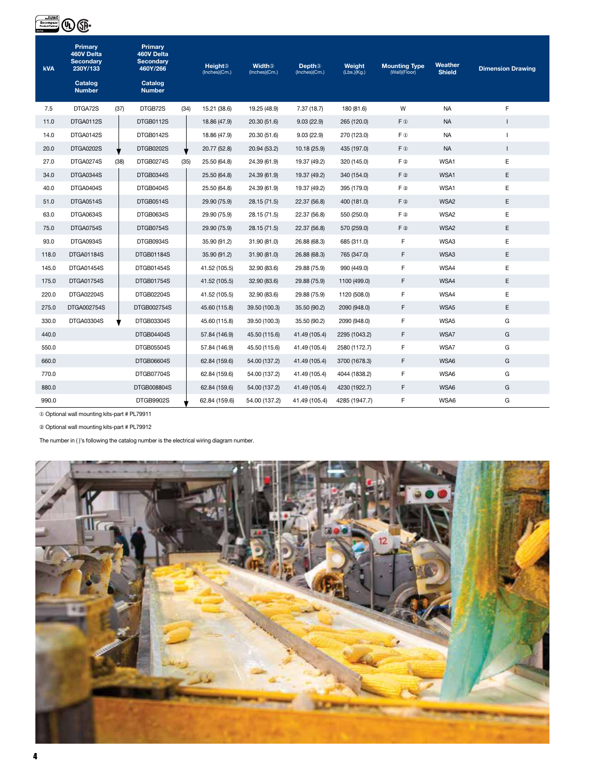| Rockwe<br>Encompas:<br>Product Partne | Ͳ                                                                                 |      |                                                                                   |      |                                             |                                            |                                            |                       |                                       |                          |                          |
|---------------------------------------|-----------------------------------------------------------------------------------|------|-----------------------------------------------------------------------------------|------|---------------------------------------------|--------------------------------------------|--------------------------------------------|-----------------------|---------------------------------------|--------------------------|--------------------------|
| <b>kVA</b>                            | Primary<br>460V Delta<br><b>Secondary</b><br>230Y/133<br>Catalog<br><b>Number</b> |      | Primary<br>460V Delta<br><b>Secondary</b><br>460Y/266<br>Catalog<br><b>Number</b> |      | <b>Height</b> <sup>3</sup><br>(Inches)(Cm.) | <b>Width</b> <sup>3</sup><br>(Inches)(Cm.) | <b>Depth</b> <sup>3</sup><br>(Inches)(Cm.) | Weight<br>(Lbs.)(Kg.) | <b>Mounting Type</b><br>(Wall)(Floor) | Weather<br><b>Shield</b> | <b>Dimension Drawing</b> |
| 7.5                                   | DTGA72S                                                                           | (37) | DTGB72S                                                                           | (34) | 15.21 (38.6)                                | 19.25 (48.9)                               | 7.37(18.7)                                 | 180 (81.6)            | W                                     | <b>NA</b>                | F                        |
| 11.0                                  | DTGA0112S                                                                         |      | DTGB0112S                                                                         |      | 18.86 (47.9)                                | 20.30 (51.6)                               | 9.03(22.9)                                 | 265 (120.0)           | $F$ $\Phi$                            | <b>NA</b>                | $\mathbf{I}$             |
| 14.0                                  | DTGA0142S                                                                         |      | DTGB0142S                                                                         |      | 18.86 (47.9)                                | 20.30 (51.6)                               | 9.03(22.9)                                 | 270 (123.0)           | F <sub>®</sub>                        | <b>NA</b>                | ı                        |
| 20.0                                  | DTGA0202S                                                                         |      | <b>DTGB0202S</b>                                                                  |      | 20.77 (52.8)                                | 20.94 (53.2)                               | 10.18 (25.9)                               | 435 (197.0)           | $F$ $\Phi$                            | <b>NA</b>                | L                        |
| 27.0                                  | DTGA0274S                                                                         | (38) | DTGB0274S                                                                         | (35) | 25.50 (64.8)                                | 24.39 (61.9)                               | 19.37 (49.2)                               | 320 (145.0)           | F 2                                   | WSA1                     | Ε                        |
| 34.0                                  | DTGA0344S                                                                         |      | DTGB0344S                                                                         |      | 25.50 (64.8)                                | 24.39 (61.9)                               | 19.37 (49.2)                               | 340 (154.0)           | F 2                                   | WSA1                     | E                        |
| 40.0                                  | DTGA0404S                                                                         |      | DTGB0404S                                                                         |      | 25.50 (64.8)                                | 24.39 (61.9)                               | 19.37 (49.2)                               | 395 (179.0)           | F 2                                   | WSA1                     | E                        |
| 51.0                                  | DTGA0514S                                                                         |      | DTGB0514S                                                                         |      | 29.90 (75.9)                                | 28.15 (71.5)                               | 22.37 (56.8)                               | 400 (181.0)           | F 2                                   | WSA2                     | E                        |
| 63.0                                  | DTGA0634S                                                                         |      | DTGB0634S                                                                         |      | 29.90 (75.9)                                | 28.15 (71.5)                               | 22.37 (56.8)                               | 550 (250.0)           | F 2                                   | WSA2                     | E                        |
| 75.0                                  | DTGA0754S                                                                         |      | DTGB0754S                                                                         |      | 29.90 (75.9)                                | 28.15 (71.5)                               | 22.37 (56.8)                               | 570 (259.0)           | F 2                                   | WSA2                     | Ε                        |
| 93.0                                  | DTGA0934S                                                                         |      | DTGB0934S                                                                         |      | 35.90 (91.2)                                | 31.90 (81.0)                               | 26.88 (68.3)                               | 685 (311.0)           | F                                     | WSA3                     | E                        |
| 118.0                                 | DTGA01184S                                                                        |      | <b>DTGB01184S</b>                                                                 |      | 35.90 (91.2)                                | 31.90 (81.0)                               | 26.88 (68.3)                               | 765 (347.0)           | F                                     | WSA3                     | E                        |
| 145.0                                 | DTGA01454S                                                                        |      | DTGB01454S                                                                        |      | 41.52 (105.5)                               | 32.90 (83.6)                               | 29.88 (75.9)                               | 990 (449.0)           | F                                     | WSA4                     | E                        |
| 175.0                                 | DTGA01754S                                                                        |      | <b>DTGB01754S</b>                                                                 |      | 41.52 (105.5)                               | 32.90 (83.6)                               | 29.88 (75.9)                               | 1100 (499.0)          | F                                     | WSA4                     | E                        |
| 220.0                                 | DTGA02204S                                                                        |      | DTGB02204S                                                                        |      | 41.52 (105.5)                               | 32.90 (83.6)                               | 29.88 (75.9)                               | 1120 (508.0)          | F                                     | WSA4                     | Ε                        |
| 275.0                                 | DTGA002754S                                                                       |      | DTGB002754S                                                                       |      | 45.60 (115.8)                               | 39.50 (100.3)                              | 35.50 (90.2)                               | 2090 (948.0)          | F                                     | WSA5                     | E                        |
| 330.0                                 | DTGA03304S                                                                        |      | DTGB03304S                                                                        |      | 45.60 (115.8)                               | 39.50 (100.3)                              | 35.50 (90.2)                               | 2090 (948.0)          | F                                     | WSA5                     | G                        |
| 440.0                                 |                                                                                   |      | DTGB04404S                                                                        |      | 57.84 (146.9)                               | 45.50 (115.6)                              | 41.49 (105.4)                              | 2295 (1043.2)         | F                                     | WSA7                     | G                        |
| 550.0                                 |                                                                                   |      | DTGB05504S                                                                        |      | 57.84 (146.9)                               | 45.50 (115.6)                              | 41.49 (105.4)                              | 2580 (1172.7)         | F                                     | WSA7                     | G                        |
| 660.0                                 |                                                                                   |      | DTGB06604S                                                                        |      | 62.84 (159.6)                               | 54.00 (137.2)                              | 41.49 (105.4)                              | 3700 (1678.3)         | F                                     | WSA6                     | G                        |
| 770.0                                 |                                                                                   |      | <b>DTGB07704S</b>                                                                 |      | 62.84 (159.6)                               | 54.00 (137.2)                              | 41.49 (105.4)                              | 4044 (1838.2)         | F                                     | WSA6                     | G                        |
| 880.0                                 |                                                                                   |      | DTGB008804S                                                                       |      | 62.84 (159.6)                               | 54.00 (137.2)                              | 41.49 (105.4)                              | 4230 (1922.7)         | F                                     | WSA6                     | G                        |
| 990.0                                 |                                                                                   |      | DTGB9902S                                                                         |      | 62.84 (159.6)                               | 54.00 (137.2)                              | 41.49 (105.4)                              | 4285 (1947.7)         | F                                     | WSA6                     | G                        |

① Optional wall mounting kits-part # PL79911

② Optional wall mounting kits-part # PL79912

The number in ( )'s following the catalog number is the electrical wiring diagram number.

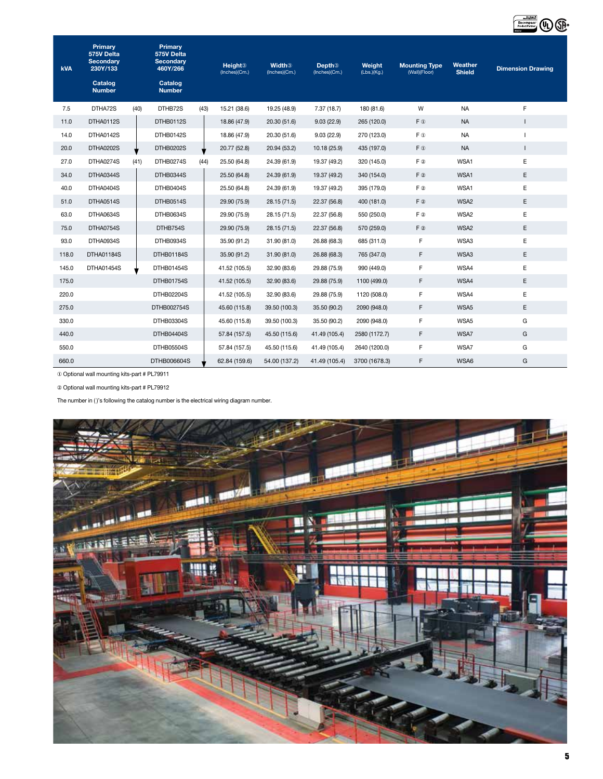| <b>kVA</b> | Primary<br>575V Delta<br><b>Secondary</b><br>230Y/133<br>Catalog<br><b>Number</b> |      | Primary<br>575V Delta<br><b>Secondary</b><br>460Y/266<br>Catalog<br><b>Number</b> |      | <b>Height</b> <sup>3</sup><br>(Inches)(Cm.) | <b>Width</b> <sup>3</sup><br>(Inches)(Cm.) | Depth <sup>3</sup><br>(Inches)(Cm.) | Weight<br>(Lbs.)(Kg.) | <b>Mounting Type</b><br>(Wall)(Floor) | Weather<br><b>Shield</b> | <b>Dimension Drawing</b> |
|------------|-----------------------------------------------------------------------------------|------|-----------------------------------------------------------------------------------|------|---------------------------------------------|--------------------------------------------|-------------------------------------|-----------------------|---------------------------------------|--------------------------|--------------------------|
| 7.5        | DTHA72S                                                                           | (40) | DTHB72S                                                                           | (43) | 15.21 (38.6)                                | 19.25 (48.9)                               | 7.37(18.7)                          | 180 (81.6)            | W                                     | <b>NA</b>                | F                        |
| 11.0       | DTHA0112S                                                                         |      | DTHB0112S                                                                         |      | 18.86 (47.9)                                | 20.30 (51.6)                               | 9.03(22.9)                          | 265 (120.0)           | $F$ (i)                               | <b>NA</b>                |                          |
| 14.0       | DTHA0142S                                                                         |      | DTHB0142S                                                                         |      | 18.86 (47.9)                                | 20.30 (51.6)                               | 9.03(22.9)                          | 270 (123.0)           | F ®                                   | <b>NA</b>                |                          |
| 20.0       | <b>DTHA0202S</b>                                                                  |      | <b>DTHB0202S</b>                                                                  |      | 20.77 (52.8)                                | 20.94 (53.2)                               | 10.18 (25.9)                        | 435 (197.0)           | $F$ (i)                               | <b>NA</b>                | $\mathbf{I}$             |
| 27.0       | DTHA0274S                                                                         | (41) | DTHB0274S                                                                         | (44) | 25.50 (64.8)                                | 24.39 (61.9)                               | 19.37 (49.2)                        | 320 (145.0)           | F 2                                   | WSA1                     | Е                        |
| 34.0       | DTHA0344S                                                                         |      | DTHB0344S                                                                         |      | 25.50 (64.8)                                | 24.39 (61.9)                               | 19.37 (49.2)                        | 340 (154.0)           | $F$ 2                                 | WSA1                     | Ε                        |
| 40.0       | DTHA0404S                                                                         |      | DTHB0404S                                                                         |      | 25.50 (64.8)                                | 24.39 (61.9)                               | 19.37 (49.2)                        | 395 (179.0)           | F 2                                   | WSA1                     | E                        |
| 51.0       | DTHA0514S                                                                         |      | DTHB0514S                                                                         |      | 29.90 (75.9)                                | 28.15 (71.5)                               | 22.37 (56.8)                        | 400 (181.0)           | $F$ 2                                 | WSA2                     | E                        |
| 63.0       | DTHA0634S                                                                         |      | DTHB0634S                                                                         |      | 29.90 (75.9)                                | 28.15 (71.5)                               | 22.37 (56.8)                        | 550 (250.0)           | F 2                                   | WSA2                     | E                        |
| 75.0       | DTHA0754S                                                                         |      | DTHB754S                                                                          |      | 29.90 (75.9)                                | 28.15 (71.5)                               | 22.37 (56.8)                        | 570 (259.0)           | $F$ 2                                 | WSA2                     | Ε                        |
| 93.0       | DTHA0934S                                                                         |      | DTHB0934S                                                                         |      | 35.90 (91.2)                                | 31.90 (81.0)                               | 26.88 (68.3)                        | 685 (311.0)           | F                                     | WSA3                     | E                        |
| 118.0      | DTHA01184S                                                                        |      | DTHB01184S                                                                        |      | 35.90 (91.2)                                | 31.90 (81.0)                               | 26.88 (68.3)                        | 765 (347.0)           | F                                     | WSA3                     | Ε                        |
| 145.0      | <b>DTHA01454S</b>                                                                 |      | DTHB01454S                                                                        |      | 41.52 (105.5)                               | 32.90 (83.6)                               | 29.88 (75.9)                        | 990 (449.0)           | F                                     | WSA4                     | E                        |
| 175.0      |                                                                                   |      | <b>DTHB01754S</b>                                                                 |      | 41.52 (105.5)                               | 32.90 (83.6)                               | 29.88 (75.9)                        | 1100 (499.0)          | F                                     | WSA4                     | Ε                        |
| 220.0      |                                                                                   |      | <b>DTHB02204S</b>                                                                 |      | 41.52 (105.5)                               | 32.90 (83.6)                               | 29.88 (75.9)                        | 1120 (508.0)          | F                                     | WSA4                     | E                        |
| 275.0      |                                                                                   |      | DTHB002754S                                                                       |      | 45.60 (115.8)                               | 39.50 (100.3)                              | 35.50 (90.2)                        | 2090 (948.0)          | F                                     | WSA5                     | E                        |
| 330.0      |                                                                                   |      | DTHB03304S                                                                        |      | 45.60 (115.8)                               | 39.50 (100.3)                              | 35.50 (90.2)                        | 2090 (948.0)          | F                                     | WSA5                     | G                        |
| 440.0      |                                                                                   |      | DTHB04404S                                                                        |      | 57.84 (157.5)                               | 45.50 (115.6)                              | 41.49 (105.4)                       | 2580 (1172.7)         | F                                     | WSA7                     | G                        |
| 550.0      |                                                                                   |      | DTHB05504S                                                                        |      | 57.84 (157.5)                               | 45.50 (115.6)                              | 41.49 (105.4)                       | 2640 (1200.0)         | F                                     | WSA7                     | G                        |
| 660.0      |                                                                                   |      | DTHB006604S                                                                       |      | 62.84 (159.6)                               | 54.00 (137.2)                              | 41.49 (105.4)                       | 3700 (1678.3)         | F                                     | WSA6                     | G                        |

① Optional wall mounting kits-part # PL79911

② Optional wall mounting kits-part # PL79912

The number in ( )'s following the catalog number is the electrical wiring diagram number.

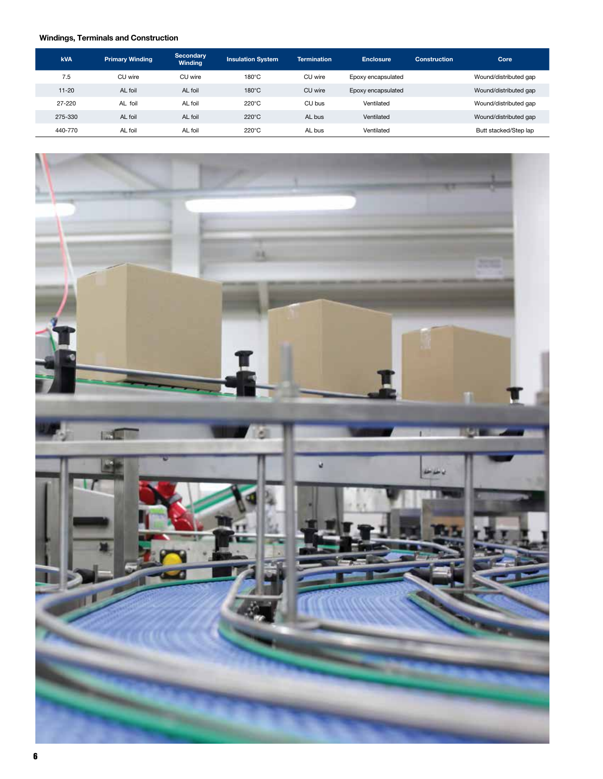# **Windings, Terminals and Construction**

| <b>kVA</b> | <b>Primary Winding</b> | Secondary<br><b>Winding</b> | <b>Insulation System</b> | <b>Termination</b> | <b>Enclosure</b>   | <b>Construction</b> | Core                  |
|------------|------------------------|-----------------------------|--------------------------|--------------------|--------------------|---------------------|-----------------------|
| 7.5        | CU wire                | CU wire                     | $180^{\circ}$ C          | CU wire            | Epoxy encapsulated |                     | Wound/distributed gap |
| $11 - 20$  | AL foil                | AL foil                     | $180^{\circ}$ C          | CU wire            | Epoxy encapsulated |                     | Wound/distributed gap |
| 27-220     | AL foil                | AL foil                     | $220^{\circ}$ C          | CU bus             | Ventilated         |                     | Wound/distributed gap |
| 275-330    | AL foil                | AL foil                     | $220^{\circ}$ C          | AL bus             | Ventilated         |                     | Wound/distributed gap |
| 440-770    | AL foil                | AL foil                     | $220^{\circ}$ C          | AL bus             | Ventilated         |                     | Butt stacked/Step lap |

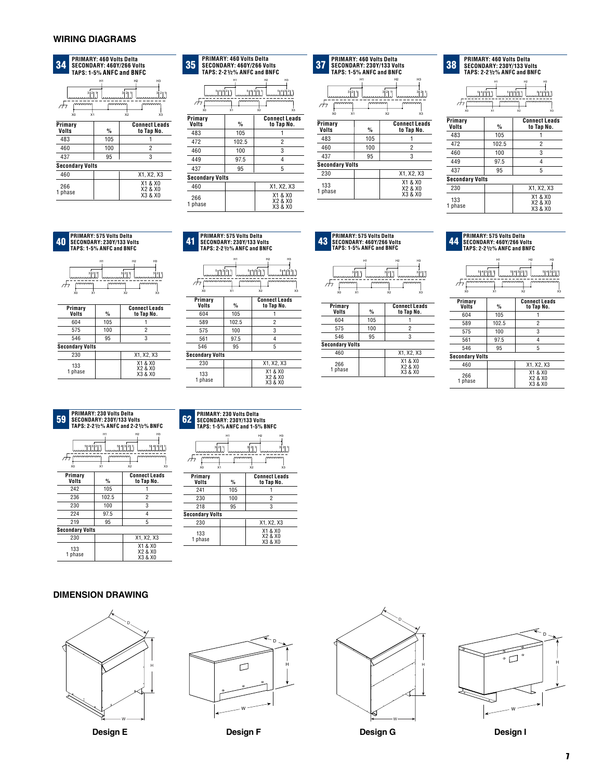### **WIRING DIAGRAMS**



| 35               |                        | <b>PRIMARY: 460 Volts Delta</b><br><b>SECONDARY: 460Y/266 Volts</b><br>TAPS: 2-21/2% ANFC and BNFC |                                          |
|------------------|------------------------|----------------------------------------------------------------------------------------------------|------------------------------------------|
|                  |                        | H1                                                                                                 | H <sub>2</sub><br>HЗ                     |
|                  | 테시키의 1                 |                                                                                                    | 514321                                   |
|                  | хö                     | xi                                                                                                 | x2<br>хs                                 |
| Primary<br>Volts |                        | %                                                                                                  | <b>Connect Leads</b><br>to Tap No.       |
| 483              |                        | 105                                                                                                |                                          |
| 472              |                        | 102.5                                                                                              | 2                                        |
| 460              |                        | 100                                                                                                | 3                                        |
| 449              |                        | 97.5                                                                                               | 4                                        |
| 437              |                        | 95                                                                                                 | 5                                        |
|                  | <b>Secondary Volts</b> |                                                                                                    |                                          |
| 460              |                        |                                                                                                    | X1, X2, X3                               |
| 266<br>phase     |                        |                                                                                                    | X1 & X0<br><b>X2 &amp; X0</b><br>X3 & X0 |

|                                      | PRIMARY: 460 Volts Delta<br>SECONDARY: 460Y/266 Volts<br>TAPS: 2-21/2% ANFC and BNFC |                                                      | 37                                                                        | <b>PRIMARY: 460 Volts Delta</b><br>TAPS: 1-5% ANFC and BNFC | SECONDARY: 230Y/133 Volts                                                               | 38                     | <b>PRIMARY: 460 Volts Delta</b><br>SECONDARY: 230Y/133 Volts<br><b>TAPS: 2-21/2% ANFC and BNF</b> |                                                     |
|--------------------------------------|--------------------------------------------------------------------------------------|------------------------------------------------------|---------------------------------------------------------------------------|-------------------------------------------------------------|-----------------------------------------------------------------------------------------|------------------------|---------------------------------------------------------------------------------------------------|-----------------------------------------------------|
| $51^{4}$ $3^{2}$ $1$<br>mmmmmm<br>X0 | H1<br>mmmmm<br>$\overline{x_1}$                                                      | H3<br>H2<br>511321<br>mmmmmm<br>$\overline{x}$<br>X3 | 3 2 1<br>الالتستسين<br>$\ldots$<br>Πī<br>X <sub>1</sub><br>X <sub>0</sub> | H1<br>mmmm                                                  | H <sub>3</sub><br>H2<br>3 2 1 <br>3 2 1<br>.<br>mmmm<br>$\overline{\mathsf{x}}_2$<br>X3 | xo                     | mmmmmm<br>$mmmm$<br>X1                                                                            | H <sub>2</sub><br>ليبيننا<br>$_{\text{comm}}$<br>X2 |
| ry                                   | $\frac{0}{\alpha}$                                                                   | <b>Connect Leads</b><br>to Tap No.                   | Primary                                                                   |                                                             | <b>Connect Leads</b>                                                                    | Primary<br>Volts       | $\frac{0}{\alpha}$                                                                                | Conne<br>to T                                       |
|                                      | 105                                                                                  |                                                      | Volts                                                                     | $\frac{0}{2}$                                               | to Tap No.                                                                              | 483                    | 105                                                                                               |                                                     |
|                                      | 102.5                                                                                | $\overline{2}$                                       | 483                                                                       | 105                                                         |                                                                                         | 472                    | 102.5                                                                                             |                                                     |
|                                      | 100                                                                                  | 3                                                    | 460                                                                       | 100                                                         | $\overline{2}$                                                                          |                        |                                                                                                   |                                                     |
|                                      | 97.5                                                                                 | 4                                                    | 437                                                                       | 95                                                          | 3                                                                                       | 460                    | 100                                                                                               |                                                     |
|                                      |                                                                                      |                                                      | <b>Secondary Volts</b>                                                    |                                                             |                                                                                         | 449                    | 97.5                                                                                              |                                                     |
|                                      | 95                                                                                   | 5                                                    | 230                                                                       |                                                             | X1, X2, X3                                                                              | 437                    | 95                                                                                                |                                                     |
| darv Volts                           |                                                                                      |                                                      |                                                                           |                                                             |                                                                                         | <b>Secondary Volts</b> |                                                                                                   |                                                     |
|                                      |                                                                                      | X1, X2, X3                                           | 133                                                                       |                                                             | X1 & X0<br>X2 & X0                                                                      | 230                    |                                                                                                   | X1,                                                 |
| sе.                                  |                                                                                      | X1 & X0<br>X2 & X0<br>VO 0 VO                        | 1 phase                                                                   |                                                             | X3 & X0                                                                                 | 133<br>1 nhace         |                                                                                                   | X1<br>X2                                            |

**TAPS: 2-21/2% ANFC and BNFC**



| Primary<br>Volts       | %     | <b>Connect Leads</b><br>to Tap No. |
|------------------------|-------|------------------------------------|
| 483                    | 105   |                                    |
| 472                    | 102.5 | $\overline{c}$                     |
| 460                    | 100   | 3                                  |
| 449                    | 97.5  | 4                                  |
| 437                    | 95    | 5                                  |
| <b>Secondary Volts</b> |       |                                    |
| 230                    |       | X1, X2, X3                         |
| 133<br>phase           |       | X1 & X0<br>X2 & X0<br>X3 & X0      |

#### **SECONDARY: 230Y/133 Volts TAPS: 1-5% ANFC and BNFC** 40

| 이의 1<br>mmmm<br>x <sub>1</sub><br>X <sub>0</sub> | H1<br>mmmm    | H <sub>2</sub><br>нα<br>3 2 1 <br><sup>3</sup>   2   1  <br>mmmm<br>X <sub>2</sub><br>X3 |
|--------------------------------------------------|---------------|------------------------------------------------------------------------------------------|
| Primary<br><b>Volts</b>                          | $\frac{9}{6}$ | <b>Connect Leads</b><br>to Tap No.                                                       |
| 604                                              | 105           |                                                                                          |
| 575                                              | 100           | $\overline{\phantom{a}}$                                                                 |
| 546                                              | 95            | 3                                                                                        |
| <b>Secondary Volts</b>                           |               |                                                                                          |
| 230                                              |               | X1, X2, X3                                                                               |
| 133<br>phase                                     |               | X1 & X0<br>X2 & X0<br>X3 & X0                                                            |

 **PRIMARY: 575 Volts Delta**<br> **11 SECONDARY: 230Y/133 Volts BNFC**<br> **144 TAPS: 2-21/2% ANFC and BNFC**<br> **147 TAPS: 1-5% ANFC and BNFC**<br> **147 TAPS: 1-5% ANFC and BNFC** 

|                           | H1         | H2<br>нз                                          |
|---------------------------|------------|---------------------------------------------------|
| 5 4 3 2 1 <br>mmmmm<br>X0 | mmmm<br>X1 | 티4의의 1<br>키4의의 1<br>mmmmm<br>X <sub>2</sub><br>X3 |
| Primary<br>Volts          | %          | <b>Connect Leads</b><br>to Tap No.                |
| 604                       | 105        |                                                   |
| 589                       | 102.5      | 2                                                 |
| 575                       | 100        | 3                                                 |
| 561                       | 97.5       | 4                                                 |
| 546                       | 95         | 5                                                 |
| <b>Secondary Volts</b>    |            |                                                   |
| 230                       |            | X1, X2, X3                                        |
| 133<br>1 phase            |            | X1 & X0<br>X2 & X0<br>X3 & X0                     |

|      | NFC AND BNFC                                                                               | IAPS:           |
|------|--------------------------------------------------------------------------------------------|-----------------|
| mmmm | H <sub>2</sub><br>H <sub>3</sub><br>5143211<br>للثلثلثييي<br>mmmmm<br>X <sub>2</sub><br>X3 | m<br>X0         |
|      | <b>Connect Leads</b><br>to Tap No.                                                         | Primar          |
|      |                                                                                            | <b>Volts</b>    |
| 5    | 2                                                                                          | 604             |
|      | 3                                                                                          | 575             |
| 5    |                                                                                            | 546             |
|      |                                                                                            | $0 - 0 - 1 - 0$ |

|     |                              | н1 |                        | H <sub>2</sub> | H <sub>3</sub> |
|-----|------------------------------|----|------------------------|----------------|----------------|
|     | 3 2 1<br>سنسسسنا             |    | 31211<br>سنستستنا      |                | ﯩﻠﯩﻠﯩﺴﺴﯩﺴﺎ     |
| ת ו | mmmm<br>X <sub>0</sub><br>X1 |    | mmmm<br>X <sub>2</sub> |                | mmmm<br>X3     |
| - - |                              |    |                        | -              | . .            |

| Primary<br>Volts       | %   | <b>Connect Leads</b><br>to Tap No. |
|------------------------|-----|------------------------------------|
| 604                    | 105 |                                    |
| 575                    | 100 | 2                                  |
| 546                    | 95  | 3                                  |
| <b>Secondary Volts</b> |     |                                    |
| 460                    |     | X1, X2, X3                         |
| 266<br>1 phase         |     | X1 & X0<br>X2 & X0<br>X3 & X0      |

| <b>PRIMARY: 575 Volts Delta</b><br><b>43 SECONDARY: 460Y/266 Volts</b><br><b>TAPS: 1-5% ANFC and BNFC</b> | <b>PRIMARY: 575 Volts Delta</b><br><b>44 SECONDARY: 460Y/266 Volts</b><br>TAPS: 2-21/2% ANFC and BNFC |
|-----------------------------------------------------------------------------------------------------------|-------------------------------------------------------------------------------------------------------|
|                                                                                                           |                                                                                                       |

|                                    | H1            | H <sub>2</sub><br>H <sub>3</sub>   |  |  |  |  |
|------------------------------------|---------------|------------------------------------|--|--|--|--|
| 5 4 3 2 1 <br>5 4 3 2 1 <br>티식회의 1 |               |                                    |  |  |  |  |
| mmmmm<br>X0                        | mmmm<br>X1    | mmmmm<br>X <sub>2</sub><br>X3      |  |  |  |  |
| Primary<br><b>Volts</b>            | $\frac{9}{6}$ | <b>Connect Leads</b><br>to Tap No. |  |  |  |  |
| 604                                | 105           |                                    |  |  |  |  |
| 589                                | 102.5         | 2                                  |  |  |  |  |
| 575                                | 100           | 3                                  |  |  |  |  |
| 561                                | 97.5          | 4                                  |  |  |  |  |
| 546                                | 95            | 5                                  |  |  |  |  |
| <b>Secondary Volts</b>             |               |                                    |  |  |  |  |
| 460                                |               | X1, X2, X3                         |  |  |  |  |
| 266<br>phase                       |               | X1 & X0<br>X2 & X0<br>X3 & X0      |  |  |  |  |

| 59                     | <b>PRIMARY: 230 Volts Delta</b><br>SECONDARY: 230Y/133 Volts<br>TAPS: 2-21/2% ANFC and 2-21/2% BNFC |                  |                                                                              |     |
|------------------------|-----------------------------------------------------------------------------------------------------|------------------|------------------------------------------------------------------------------|-----|
|                        | 5 4 3 2 1 <br>mmmmm<br>X0                                                                           | H1<br>mmmm<br>X1 | H <sub>2</sub><br>H <sub>3</sub><br>테4] 이 기<br>mmmmm<br>X <sub>2</sub><br>X3 | Г,  |
|                        | Primary<br>Volts                                                                                    | $\%$             | <b>Connect Leads</b><br>to Tap No.                                           |     |
|                        | 242                                                                                                 | 105              |                                                                              |     |
|                        | 236                                                                                                 | 102.5            | 2                                                                            |     |
|                        | 230                                                                                                 | 100              | 3                                                                            |     |
|                        | 224                                                                                                 | 97.5             | 4                                                                            | Sec |
|                        | 219                                                                                                 | 95               | 5                                                                            |     |
| <b>Secondary Volts</b> |                                                                                                     |                  |                                                                              |     |
|                        | 230                                                                                                 |                  | X1, X2, X3                                                                   |     |
|                        | 133<br>1 phase                                                                                      |                  | X1 & X0<br>X2 & X0<br>X3 & X0                                                |     |

| <b>PRIMARY: 230 Volts Delta</b><br>62.<br>SECONDARY: 230Y/133 Volts<br>TAPS: 1-5% ANFC and 1-5% BNFC          |               |                                    |  |  |  |  |
|---------------------------------------------------------------------------------------------------------------|---------------|------------------------------------|--|--|--|--|
| H1<br>H <sub>2</sub><br>H3<br>2  1<br>2  1<br>2   1<br>mmmm<br>mmm<br>mmm<br>xi<br>X <sub>2</sub><br>xз<br>xo |               |                                    |  |  |  |  |
| Primarv<br>Volts                                                                                              | $\frac{0}{2}$ | <b>Connect Leads</b><br>to Tap No. |  |  |  |  |
| 241                                                                                                           | 105           |                                    |  |  |  |  |
| 230                                                                                                           | 100           | 2                                  |  |  |  |  |
| 218                                                                                                           | 95            | 3                                  |  |  |  |  |
| <b>Secondary Volts</b>                                                                                        |               |                                    |  |  |  |  |
| 230                                                                                                           |               | X1, X2, X3                         |  |  |  |  |
| 133<br>phase                                                                                                  |               | X1 & X0<br>X2 & X0<br>X3 & X0      |  |  |  |  |

#### **DIMENSION DRAWING**



**Design E**



**Design F**



**Design G**

D  $\overline{\bullet}$   $\Box$ H W

**Design I**